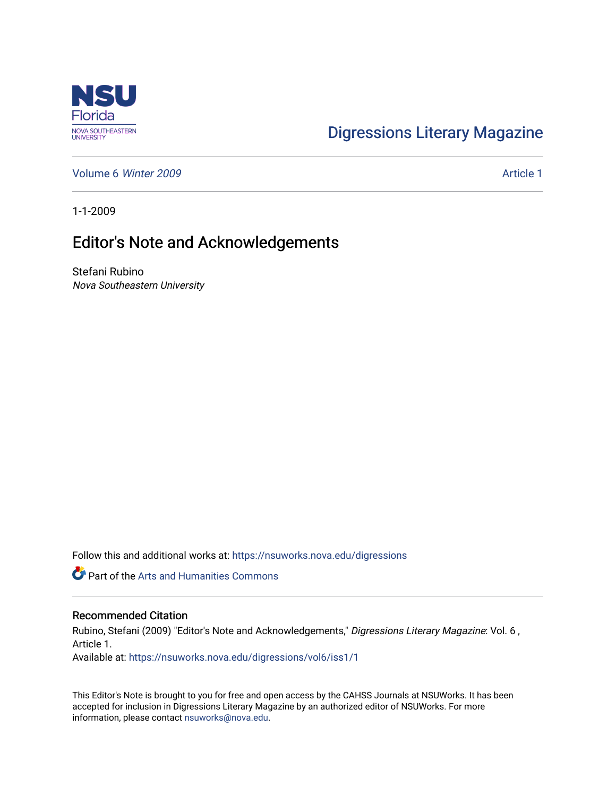

## [Digressions Literary Magazine](https://nsuworks.nova.edu/digressions)

[Volume 6](https://nsuworks.nova.edu/digressions/vol6) Winter 2009 **Article 1** Article 1

1-1-2009

## Editor's Note and Acknowledgements

Stefani Rubino Nova Southeastern University

Follow this and additional works at: [https://nsuworks.nova.edu/digressions](https://nsuworks.nova.edu/digressions?utm_source=nsuworks.nova.edu%2Fdigressions%2Fvol6%2Fiss1%2F1&utm_medium=PDF&utm_campaign=PDFCoverPages) 

Part of the [Arts and Humanities Commons](http://network.bepress.com/hgg/discipline/438?utm_source=nsuworks.nova.edu%2Fdigressions%2Fvol6%2Fiss1%2F1&utm_medium=PDF&utm_campaign=PDFCoverPages) 

## Recommended Citation

Rubino, Stefani (2009) "Editor's Note and Acknowledgements," Digressions Literary Magazine: Vol. 6, Article 1.

Available at: [https://nsuworks.nova.edu/digressions/vol6/iss1/1](https://nsuworks.nova.edu/digressions/vol6/iss1/1?utm_source=nsuworks.nova.edu%2Fdigressions%2Fvol6%2Fiss1%2F1&utm_medium=PDF&utm_campaign=PDFCoverPages) 

This Editor's Note is brought to you for free and open access by the CAHSS Journals at NSUWorks. It has been accepted for inclusion in Digressions Literary Magazine by an authorized editor of NSUWorks. For more information, please contact [nsuworks@nova.edu.](mailto:nsuworks@nova.edu)